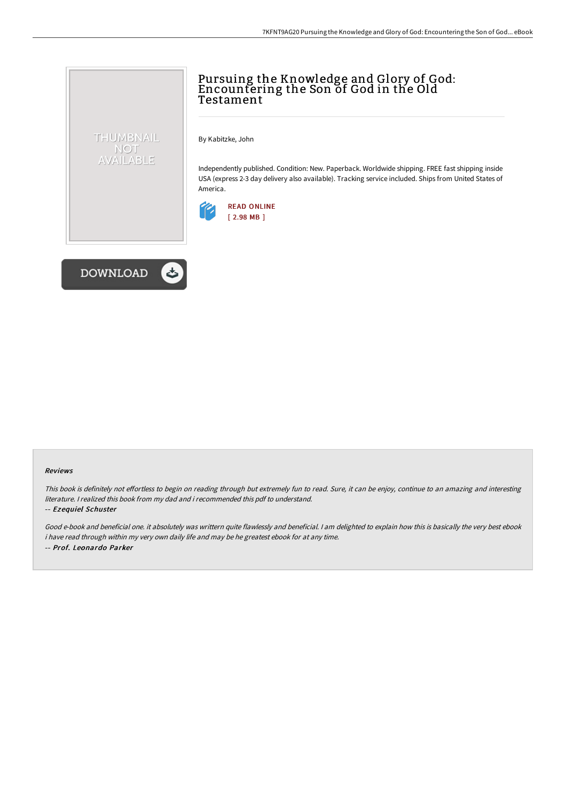## Pursuing the Knowledge and Glory of God: Encountering the Son of God in the Old Testament

By Kabitzke, John

Independently published. Condition: New. Paperback. Worldwide shipping. FREE fast shipping inside USA (express 2-3 day delivery also available). Tracking service included. Ships from United States of America.





THUMBNAIL NOT AVAILABLE

## Reviews

This book is definitely not effortless to begin on reading through but extremely fun to read. Sure, it can be enjoy, continue to an amazing and interesting literature. I realized this book from my dad and i recommended this pdf to understand.

## -- Ezequiel Schuster

Good e-book and beneficial one. it absolutely was writtern quite flawlessly and beneficial. <sup>I</sup> am delighted to explain how this is basically the very best ebook i have read through within my very own daily life and may be he greatest ebook for at any time. -- Prof. Leonardo Parker